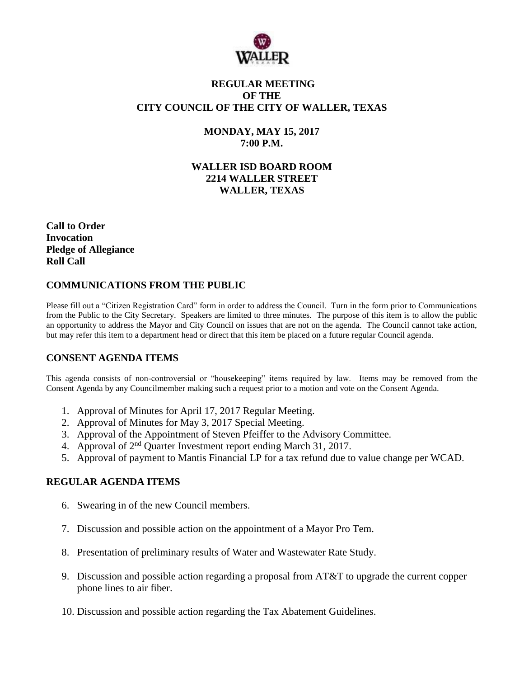

## **REGULAR MEETING OF THE CITY COUNCIL OF THE CITY OF WALLER, TEXAS**

## **MONDAY, MAY 15, 2017 7:00 P.M.**

# **WALLER ISD BOARD ROOM 2214 WALLER STREET WALLER, TEXAS**

**Call to Order Invocation Pledge of Allegiance Roll Call**

## **COMMUNICATIONS FROM THE PUBLIC**

Please fill out a "Citizen Registration Card" form in order to address the Council. Turn in the form prior to Communications from the Public to the City Secretary. Speakers are limited to three minutes. The purpose of this item is to allow the public an opportunity to address the Mayor and City Council on issues that are not on the agenda. The Council cannot take action, but may refer this item to a department head or direct that this item be placed on a future regular Council agenda.

# **CONSENT AGENDA ITEMS**

This agenda consists of non-controversial or "housekeeping" items required by law. Items may be removed from the Consent Agenda by any Councilmember making such a request prior to a motion and vote on the Consent Agenda.

- 1. Approval of Minutes for April 17, 2017 Regular Meeting.
- 2. Approval of Minutes for May 3, 2017 Special Meeting.
- 3. Approval of the Appointment of Steven Pfeiffer to the Advisory Committee.
- 4. Approval of  $2<sup>nd</sup>$  Quarter Investment report ending March 31, 2017.
- 5. Approval of payment to Mantis Financial LP for a tax refund due to value change per WCAD.

### **REGULAR AGENDA ITEMS**

- 6. Swearing in of the new Council members.
- 7. Discussion and possible action on the appointment of a Mayor Pro Tem.
- 8. Presentation of preliminary results of Water and Wastewater Rate Study.
- 9. Discussion and possible action regarding a proposal from  $AT&T$  to upgrade the current copper phone lines to air fiber.
- 10. Discussion and possible action regarding the Tax Abatement Guidelines.